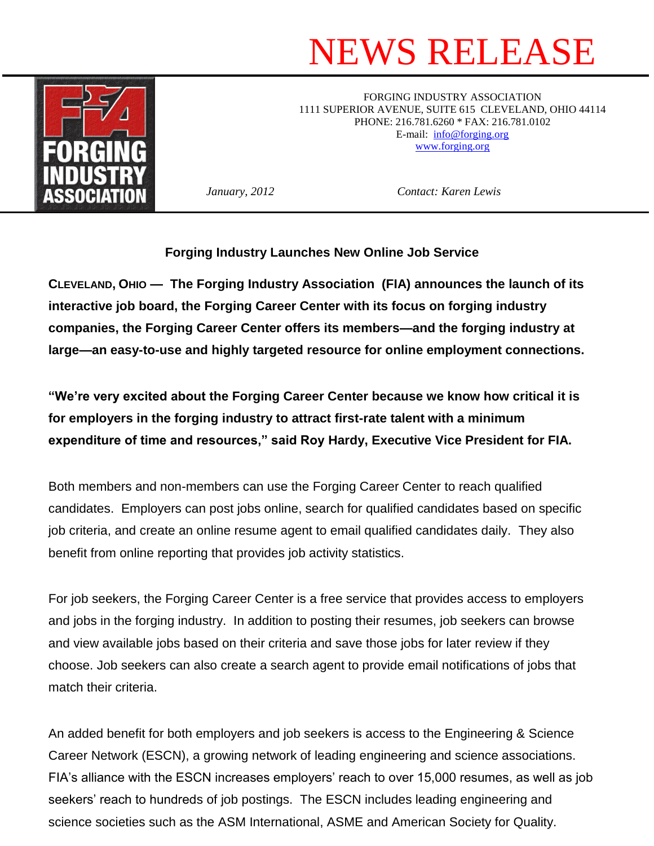## NEWS RELEASE



FORGING INDUSTRY ASSOCIATION 1111 SUPERIOR AVENUE, SUITE 615 CLEVELAND, OHIO 44114 PHONE: 216.781.6260 \* FAX: 216.781.0102 E-mail: [info@forging.org](mailto:info@forging.org) [www.forging.org](http://www.forging.org/)

*January, 2012 Contact: Karen Lewis*

**Forging Industry Launches New Online Job Service** 

**CLEVELAND, OHIO — The Forging Industry Association (FIA) announces the launch of its interactive job board, the Forging Career Center with its focus on forging industry companies, the Forging Career Center offers its members—and the forging industry at large—an easy-to-use and highly targeted resource for online employment connections.** 

**"We're very excited about the Forging Career Center because we know how critical it is for employers in the forging industry to attract first-rate talent with a minimum expenditure of time and resources," said Roy Hardy, Executive Vice President for FIA.** 

Both members and non-members can use the Forging Career Center to reach qualified candidates. Employers can post jobs online, search for qualified candidates based on specific job criteria, and create an online resume agent to email qualified candidates daily. They also benefit from online reporting that provides job activity statistics.

For job seekers, the Forging Career Center is a free service that provides access to employers and jobs in the forging industry. In addition to posting their resumes, job seekers can browse and view available jobs based on their criteria and save those jobs for later review if they choose. Job seekers can also create a search agent to provide email notifications of jobs that match their criteria.

An added benefit for both employers and job seekers is access to the Engineering & Science Career Network (ESCN), a growing network of leading engineering and science associations. FIA's alliance with the ESCN increases employers' reach to over 15,000 resumes, as well as job seekers' reach to hundreds of job postings. The ESCN includes leading engineering and science societies such as the ASM International, ASME and American Society for Quality.